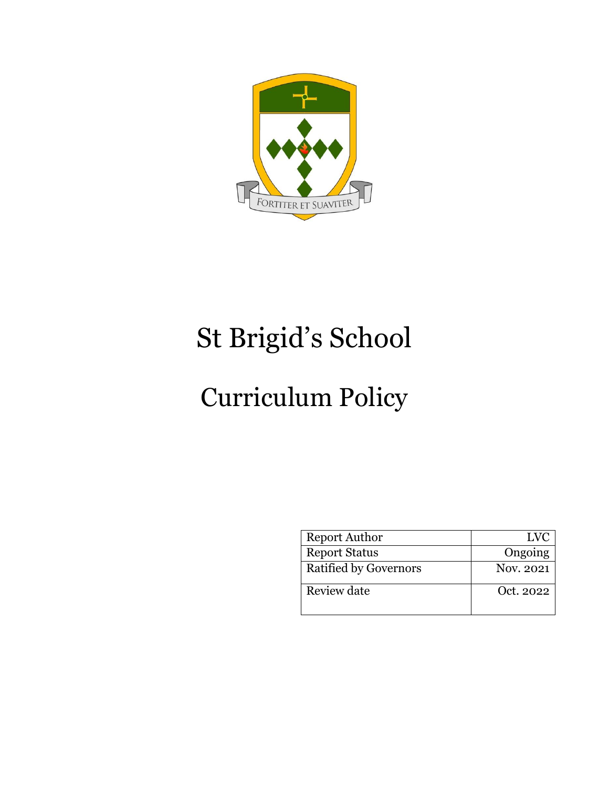

# St Brigid's School

# Curriculum Policy

| <b>Report Author</b>         | LVC       |
|------------------------------|-----------|
| <b>Report Status</b>         | Ongoing   |
| <b>Ratified by Governors</b> | Nov. 2021 |
| Review date                  | Oct. 2022 |
|                              |           |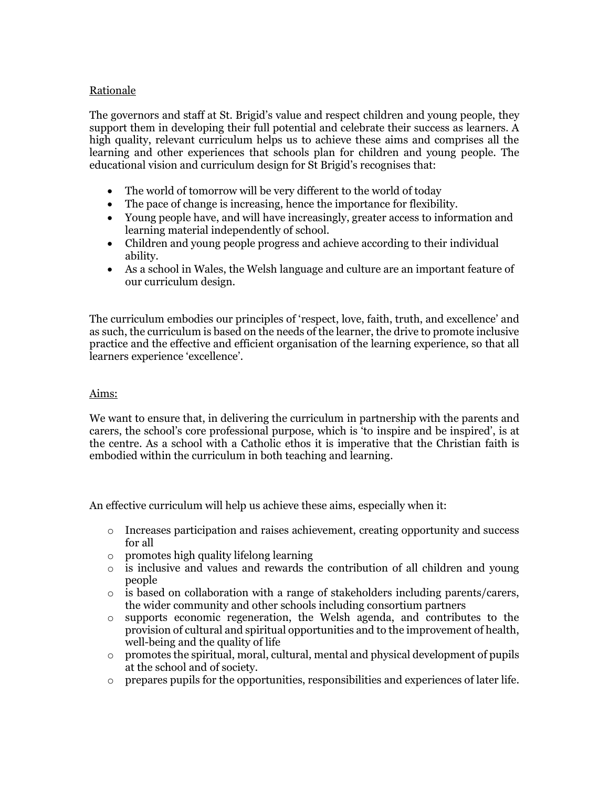## Rationale

The governors and staff at St. Brigid's value and respect children and young people, they support them in developing their full potential and celebrate their success as learners. A high quality, relevant curriculum helps us to achieve these aims and comprises all the learning and other experiences that schools plan for children and young people. The educational vision and curriculum design for St Brigid's recognises that:

- The world of tomorrow will be very different to the world of today
- The pace of change is increasing, hence the importance for flexibility.
- Young people have, and will have increasingly, greater access to information and learning material independently of school.
- Children and young people progress and achieve according to their individual ability.
- As a school in Wales, the Welsh language and culture are an important feature of our curriculum design.

The curriculum embodies our principles of 'respect, love, faith, truth, and excellence' and as such, the curriculum is based on the needs of the learner, the drive to promote inclusive practice and the effective and efficient organisation of the learning experience, so that all learners experience 'excellence'.

### Aims:

We want to ensure that, in delivering the curriculum in partnership with the parents and carers, the school's core professional purpose, which is 'to inspire and be inspired', is at the centre. As a school with a Catholic ethos it is imperative that the Christian faith is embodied within the curriculum in both teaching and learning.

An effective curriculum will help us achieve these aims, especially when it:

- o Increases participation and raises achievement, creating opportunity and success for all
- o promotes high quality lifelong learning
- $\circ$  is inclusive and values and rewards the contribution of all children and young people
- $\circ$  is based on collaboration with a range of stakeholders including parents/carers, the wider community and other schools including consortium partners
- o supports economic regeneration, the Welsh agenda, and contributes to the provision of cultural and spiritual opportunities and to the improvement of health, well-being and the quality of life
- $\circ$  promotes the spiritual, moral, cultural, mental and physical development of pupils at the school and of society.
- $\circ$  prepares pupils for the opportunities, responsibilities and experiences of later life.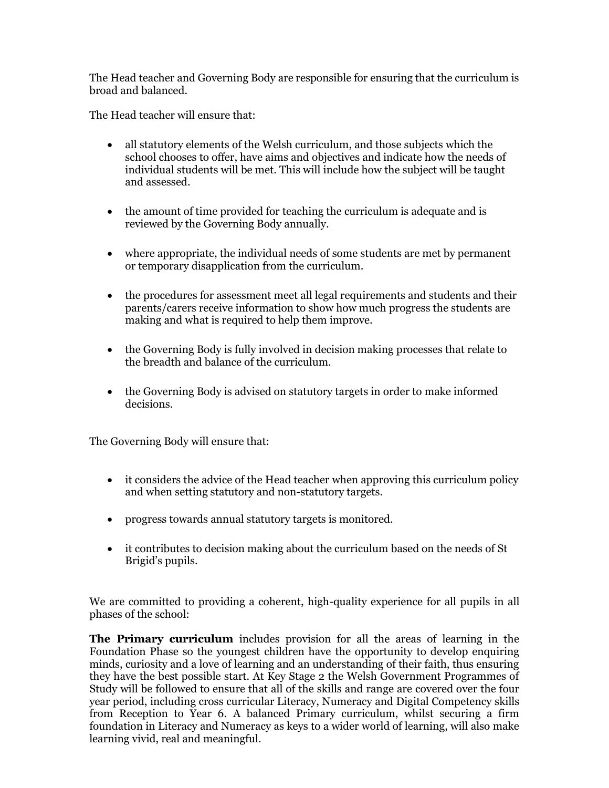The Head teacher and Governing Body are responsible for ensuring that the curriculum is broad and balanced.

The Head teacher will ensure that:

- all statutory elements of the Welsh curriculum, and those subjects which the school chooses to offer, have aims and objectives and indicate how the needs of individual students will be met. This will include how the subject will be taught and assessed.
- the amount of time provided for teaching the curriculum is adequate and is reviewed by the Governing Body annually.
- where appropriate, the individual needs of some students are met by permanent or temporary disapplication from the curriculum.
- the procedures for assessment meet all legal requirements and students and their parents/carers receive information to show how much progress the students are making and what is required to help them improve.
- the Governing Body is fully involved in decision making processes that relate to the breadth and balance of the curriculum.
- the Governing Body is advised on statutory targets in order to make informed decisions.

The Governing Body will ensure that:

- it considers the advice of the Head teacher when approving this curriculum policy and when setting statutory and non-statutory targets.
- progress towards annual statutory targets is monitored.
- it contributes to decision making about the curriculum based on the needs of St Brigid's pupils.

We are committed to providing a coherent, high-quality experience for all pupils in all phases of the school:

**The Primary curriculum** includes provision for all the areas of learning in the Foundation Phase so the youngest children have the opportunity to develop enquiring minds, curiosity and a love of learning and an understanding of their faith, thus ensuring they have the best possible start. At Key Stage 2 the Welsh Government Programmes of Study will be followed to ensure that all of the skills and range are covered over the four year period, including cross curricular Literacy, Numeracy and Digital Competency skills from Reception to Year 6. A balanced Primary curriculum, whilst securing a firm foundation in Literacy and Numeracy as keys to a wider world of learning, will also make learning vivid, real and meaningful.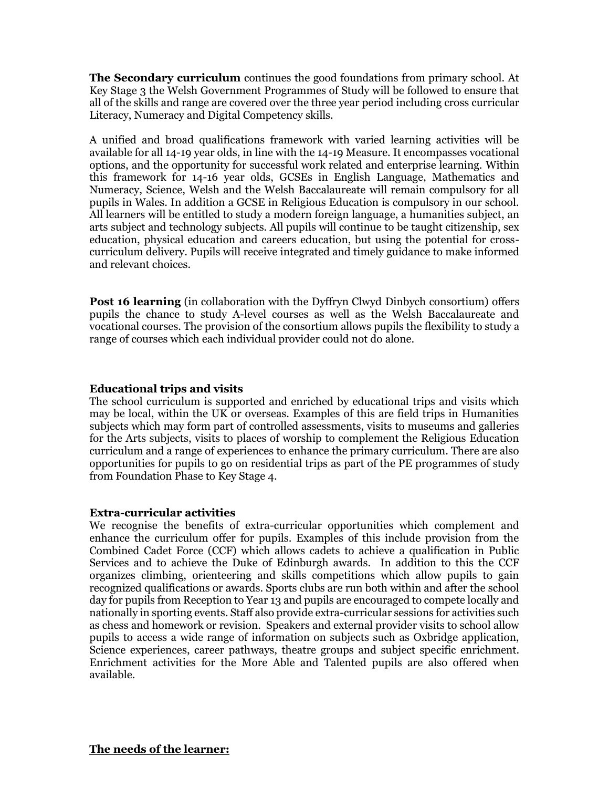**The Secondary curriculum** continues the good foundations from primary school. At Key Stage 3 the Welsh Government Programmes of Study will be followed to ensure that all of the skills and range are covered over the three year period including cross curricular Literacy, Numeracy and Digital Competency skills.

A unified and broad qualifications framework with varied learning activities will be available for all 14-19 year olds, in line with the 14-19 Measure. It encompasses vocational options, and the opportunity for successful work related and enterprise learning. Within this framework for 14-16 year olds, GCSEs in English Language, Mathematics and Numeracy, Science, Welsh and the Welsh Baccalaureate will remain compulsory for all pupils in Wales. In addition a GCSE in Religious Education is compulsory in our school. All learners will be entitled to study a modern foreign language, a humanities subject, an arts subject and technology subjects. All pupils will continue to be taught citizenship, sex education, physical education and careers education, but using the potential for crosscurriculum delivery. Pupils will receive integrated and timely guidance to make informed and relevant choices.

**Post 16 learning** (in collaboration with the Dyffryn Clwyd Dinbych consortium) offers pupils the chance to study A-level courses as well as the Welsh Baccalaureate and vocational courses. The provision of the consortium allows pupils the flexibility to study a range of courses which each individual provider could not do alone.

### **Educational trips and visits**

The school curriculum is supported and enriched by educational trips and visits which may be local, within the UK or overseas. Examples of this are field trips in Humanities subjects which may form part of controlled assessments, visits to museums and galleries for the Arts subjects, visits to places of worship to complement the Religious Education curriculum and a range of experiences to enhance the primary curriculum. There are also opportunities for pupils to go on residential trips as part of the PE programmes of study from Foundation Phase to Key Stage 4.

#### **Extra-curricular activities**

We recognise the benefits of extra-curricular opportunities which complement and enhance the curriculum offer for pupils. Examples of this include provision from the Combined Cadet Force (CCF) which allows cadets to achieve a qualification in Public Services and to achieve the Duke of Edinburgh awards. In addition to this the CCF organizes climbing, orienteering and skills competitions which allow pupils to gain recognized qualifications or awards. Sports clubs are run both within and after the school day for pupils from Reception to Year 13 and pupils are encouraged to compete locally and nationally in sporting events. Staff also provide extra-curricular sessions for activities such as chess and homework or revision. Speakers and external provider visits to school allow pupils to access a wide range of information on subjects such as Oxbridge application, Science experiences, career pathways, theatre groups and subject specific enrichment. Enrichment activities for the More Able and Talented pupils are also offered when available.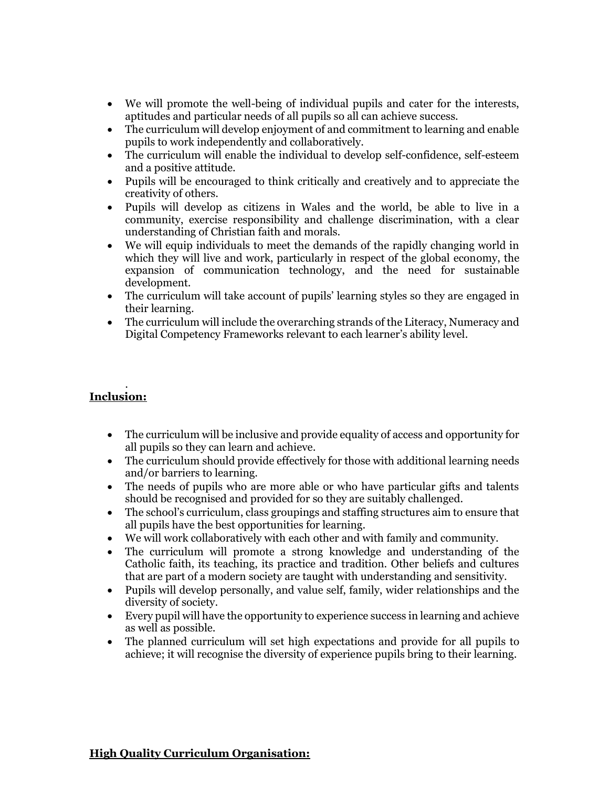- We will promote the well-being of individual pupils and cater for the interests, aptitudes and particular needs of all pupils so all can achieve success.
- The curriculum will develop enjoyment of and commitment to learning and enable pupils to work independently and collaboratively.
- The curriculum will enable the individual to develop self-confidence, self-esteem and a positive attitude.
- Pupils will be encouraged to think critically and creatively and to appreciate the creativity of others.
- Pupils will develop as citizens in Wales and the world, be able to live in a community, exercise responsibility and challenge discrimination, with a clear understanding of Christian faith and morals.
- We will equip individuals to meet the demands of the rapidly changing world in which they will live and work, particularly in respect of the global economy, the expansion of communication technology, and the need for sustainable development.
- The curriculum will take account of pupils' learning styles so they are engaged in their learning.
- The curriculum will include the overarching strands of the Literacy, Numeracy and Digital Competency Frameworks relevant to each learner's ability level.

#### . **Inclusion:**

- The curriculum will be inclusive and provide equality of access and opportunity for all pupils so they can learn and achieve.
- The curriculum should provide effectively for those with additional learning needs and/or barriers to learning.
- The needs of pupils who are more able or who have particular gifts and talents should be recognised and provided for so they are suitably challenged.
- The school's curriculum, class groupings and staffing structures aim to ensure that all pupils have the best opportunities for learning.
- We will work collaboratively with each other and with family and community.
- The curriculum will promote a strong knowledge and understanding of the Catholic faith, its teaching, its practice and tradition. Other beliefs and cultures that are part of a modern society are taught with understanding and sensitivity.
- Pupils will develop personally, and value self, family, wider relationships and the diversity of society.
- Every pupil will have the opportunity to experience success in learning and achieve as well as possible.
- The planned curriculum will set high expectations and provide for all pupils to achieve; it will recognise the diversity of experience pupils bring to their learning.